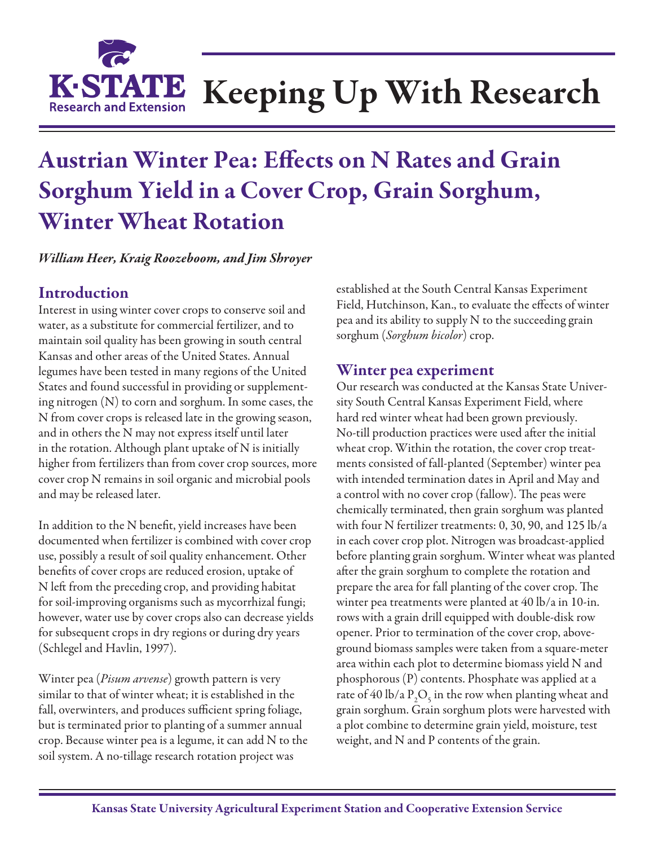

# Keeping Up With Research

## Austrian Winter Pea: Effects on N Rates and Grain Sorghum Yield in a Cover Crop, Grain Sorghum, Winter Wheat Rotation

*William Heer, Kraig Roozeboom, and Jim Shroyer*

### Introduction

Interest in using winter cover crops to conserve soil and water, as a substitute for commercial fertilizer, and to maintain soil quality has been growing in south central Kansas and other areas of the United States. Annual legumes have been tested in many regions of the United States and found successful in providing or supplementing nitrogen (N) to corn and sorghum. In some cases, the N from cover crops is released late in the growing season, and in others the N may not express itself until later in the rotation. Although plant uptake of N is initially higher from fertilizers than from cover crop sources, more cover crop N remains in soil organic and microbial pools and may be released later.

In addition to the N benefit, yield increases have been documented when fertilizer is combined with cover crop use, possibly a result of soil quality enhancement. Other benefits of cover crops are reduced erosion, uptake of N left from the preceding crop, and providing habitat for soil-improving organisms such as mycorrhizal fungi; however, water use by cover crops also can decrease yields for subsequent crops in dry regions or during dry years (Schlegel and Havlin, 1997).

Winter pea (*Pisum arvense*) growth pattern is very similar to that of winter wheat; it is established in the fall, overwinters, and produces sufficient spring foliage, but is terminated prior to planting of a summer annual crop. Because winter pea is a legume, it can add N to the soil system. A no-tillage research rotation project was

established at the South Central Kansas Experiment Field, Hutchinson, Kan., to evaluate the effects of winter pea and its ability to supply N to the succeeding grain sorghum (*Sorghum bicolor*) crop.

#### Winter pea experiment

Our research was conducted at the Kansas State University South Central Kansas Experiment Field, where hard red winter wheat had been grown previously. No-till production practices were used after the initial wheat crop. Within the rotation, the cover crop treatments consisted of fall-planted (September) winter pea with intended termination dates in April and May and a control with no cover crop (fallow). The peas were chemically terminated, then grain sorghum was planted with four N fertilizer treatments: 0, 30, 90, and 125 lb/a in each cover crop plot. Nitrogen was broadcast-applied before planting grain sorghum. Winter wheat was planted after the grain sorghum to complete the rotation and prepare the area for fall planting of the cover crop. The winter pea treatments were planted at 40 lb/a in 10-in. rows with a grain drill equipped with double-disk row opener. Prior to termination of the cover crop, aboveground biomass samples were taken from a square-meter area within each plot to determine biomass yield N and phosphorous (P) contents. Phosphate was applied at a rate of 40 lb/a  $P_2O_5$  in the row when planting wheat and grain sorghum. Grain sorghum plots were harvested with a plot combine to determine grain yield, moisture, test weight, and N and P contents of the grain.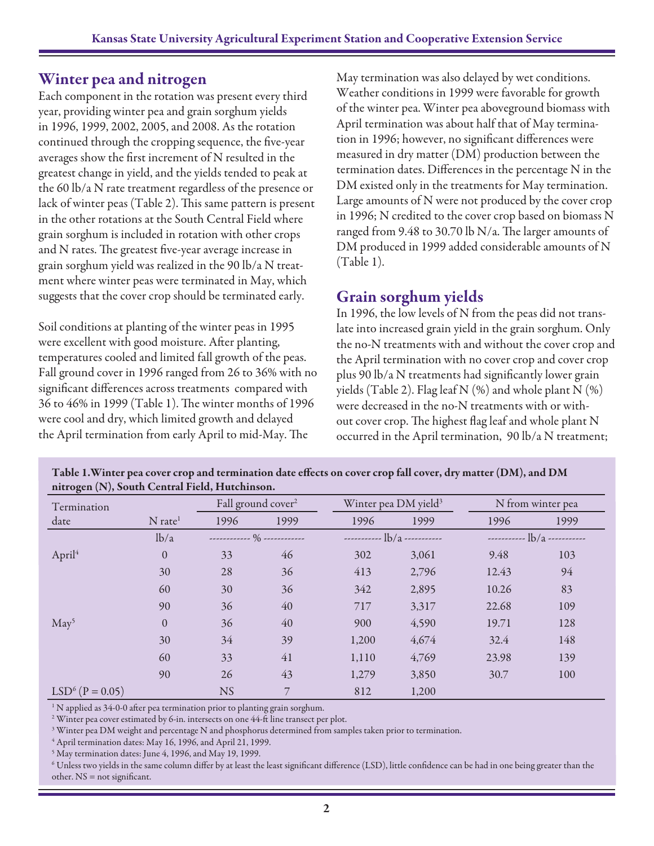#### Winter pea and nitrogen

Each component in the rotation was present every third year, providing winter pea and grain sorghum yields in 1996, 1999, 2002, 2005, and 2008. As the rotation continued through the cropping sequence, the five-year averages show the first increment of N resulted in the greatest change in yield, and the yields tended to peak at the 60 lb/a N rate treatment regardless of the presence or lack of winter peas (Table 2). This same pattern is present in the other rotations at the South Central Field where grain sorghum is included in rotation with other crops and N rates. The greatest five-year average increase in grain sorghum yield was realized in the 90 lb/a N treatment where winter peas were terminated in May, which suggests that the cover crop should be terminated early.

Soil conditions at planting of the winter peas in 1995 were excellent with good moisture. After planting, temperatures cooled and limited fall growth of the peas. Fall ground cover in 1996 ranged from 26 to 36% with no significant differences across treatments compared with 36 to 46% in 1999 (Table 1). The winter months of 1996 were cool and dry, which limited growth and delayed the April termination from early April to mid-May. The

May termination was also delayed by wet conditions. Weather conditions in 1999 were favorable for growth of the winter pea. Winter pea aboveground biomass with April termination was about half that of May termination in 1996; however, no significant differences were measured in dry matter (DM) production between the termination dates. Differences in the percentage N in the DM existed only in the treatments for May termination. Large amounts of N were not produced by the cover crop in 1996; N credited to the cover crop based on biomass N ranged from 9.48 to 30.70 lb N/a. The larger amounts of DM produced in 1999 added considerable amounts of N (Table 1).

#### Grain sorghum yields

In 1996, the low levels of N from the peas did not translate into increased grain yield in the grain sorghum. Only the no-N treatments with and without the cover crop and the April termination with no cover crop and cover crop plus 90 lb/a N treatments had significantly lower grain yields (Table 2). Flag leaf N  $(\%)$  and whole plant N  $(\%)$ were decreased in the no-N treatments with or without cover crop. The highest flag leaf and whole plant N occurred in the April termination, 90 lb/a N treatment;

| $\sigma$<br>$\sim$ $\sim$<br>Termination |                       |           | Fall ground cover <sup>2</sup> |       | Winter pea DM yield <sup>3</sup> | N from winter pea |                                      |  |  |
|------------------------------------------|-----------------------|-----------|--------------------------------|-------|----------------------------------|-------------------|--------------------------------------|--|--|
| date                                     | $N$ rate <sup>1</sup> | 1996      | 1999                           | 1996  | 1999                             | 1996              | 1999                                 |  |  |
|                                          | lb/a                  |           | ------------ % ------------    |       | $ \frac{1}{b/a}$ $ \frac{1}{c}$  |                   | $  \frac{1}{b/a}$ $   \frac{1}{c-a}$ |  |  |
| April <sup>4</sup>                       | $\overline{0}$        | 33        | 46                             | 302   | 3,061                            | 9.48              | 103                                  |  |  |
|                                          | 30                    | 28        | 36                             | 413   | 2,796                            | 12.43             | 94                                   |  |  |
|                                          | 60                    | 30        | 36                             | 342   | 2,895                            | 10.26             | 83                                   |  |  |
|                                          | 90                    | 36        | 40                             | 717   | 3,317                            | 22.68             | 109                                  |  |  |
| May <sup>5</sup>                         | $\overline{0}$        | 36        | 40                             | 900   | 4,590                            | 19.71             | 128                                  |  |  |
|                                          | 30                    | 34        | 39                             | 1,200 | 4,674                            | 32.4              | 148                                  |  |  |
|                                          | 60                    | 33        | 41                             | 1,110 | 4,769                            | 23.98             | 139                                  |  |  |
|                                          | 90                    | 26        | 43                             | 1,279 | 3,850                            | 30.7              | 100                                  |  |  |
| $LSD6$ (P = 0.05)                        |                       | <b>NS</b> | 7                              | 812   | 1,200                            |                   |                                      |  |  |

Table 1.Winter pea cover crop and termination date effects on cover crop fall cover, dry matter (DM), and DM nitrogen (N), South Central Field, Hutchinson.

<sup>1</sup> N applied as 34-0-0 after pea termination prior to planting grain sorghum.

 $^{\rm 2}$  Winter pea cover estimated by 6-in. intersects on one 44-ft line transect per plot.

 $^3$  Winter pea DM weight and percentage N and phosphorus determined from samples taken prior to termination.

4 April termination dates: May 16, 1996, and April 21, 1999.

5 May termination dates: June 4, 1996, and May 19, 1999.

 $^6$  Unless two yields in the same column differ by at least the least significant difference (LSD), little confidence can be had in one being greater than the other.  $NS = not$  significant.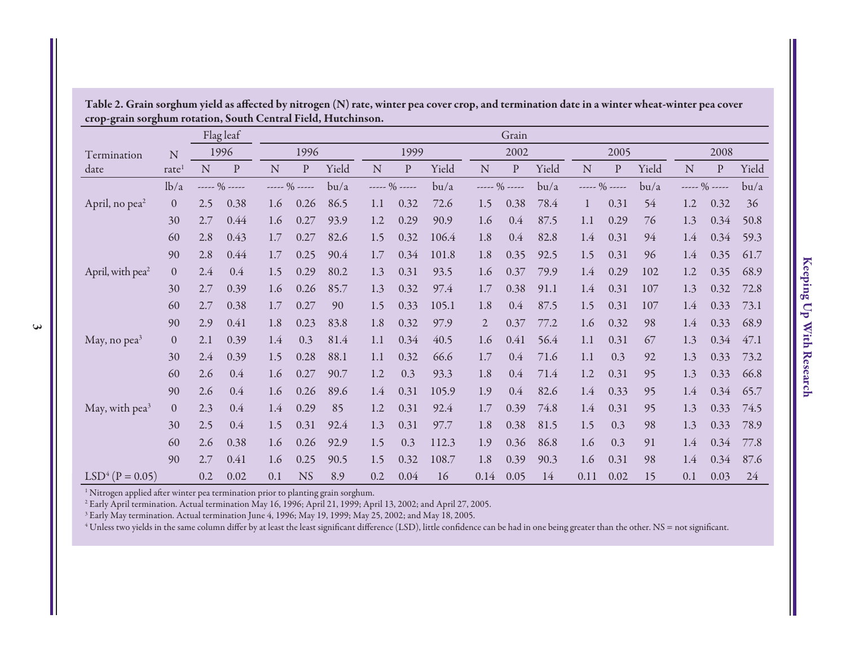|                              |                |     | Flag leaf      |     |                |       |           |                |       |                | Grain        |       |      |                  |       |     |               |       |
|------------------------------|----------------|-----|----------------|-----|----------------|-------|-----------|----------------|-------|----------------|--------------|-------|------|------------------|-------|-----|---------------|-------|
| Termination                  | ${\bf N}$      |     | 1996           |     | 1996           |       |           | 1999           |       |                | 2002         |       |      | 2005             |       |     | 2008          |       |
| date                         | rate           | N   | ${\bf P}$      | N   | $\mathbf{P}$   | Yield | ${\bf N}$ | ${\bf P}$      | Yield | ${\bf N}$      | ${\bf P}$    | Yield | N    | ${\bf P}$        | Yield | N   | ${\bf p}$     | Yield |
|                              | lb/a           |     | $--- 90$ ----- |     | $--- 90$ ----- | bu/a  |           | $--- 90$ ----- | bu/a  |                | $--- 90 ---$ | bu/a  |      | ----- $\%$ ----- | bu/a  |     | ----- % ----- | bu/a  |
| April, no pea <sup>2</sup>   | $\theta$       | 2.5 | 0.38           | 1.6 | 0.26           | 86.5  | 1.1       | 0.32           | 72.6  | 1.5            | 0.38         | 78.4  | 1    | 0.31             | 54    | 1.2 | 0.32          | 36    |
|                              | 30             | 2.7 | 0.44           | 1.6 | 0.27           | 93.9  | 1.2       | 0.29           | 90.9  | 1.6            | 0.4          | 87.5  | 1.1  | 0.29             | 76    | 1.3 | 0.34          | 50.8  |
|                              | 60             | 2.8 | 0.43           | 1.7 | 0.27           | 82.6  | 1.5       | 0.32           | 106.4 | 1.8            | 0.4          | 82.8  | 1.4  | 0.31             | 94    | 1.4 | 0.34          | 59.3  |
|                              | 90             | 2.8 | 0.44           | 1.7 | 0.25           | 90.4  | 1.7       | 0.34           | 101.8 | 1.8            | 0.35         | 92.5  | 1.5  | 0.31             | 96    | 1.4 | 0.35          | 61.7  |
| April, with pea <sup>2</sup> | $\overline{0}$ | 2.4 | 0.4            | 1.5 | 0.29           | 80.2  | 1.3       | 0.31           | 93.5  | 1.6            | 0.37         | 79.9  | 1.4  | 0.29             | 102   | 1.2 | 0.35          | 68.9  |
|                              | 30             | 2.7 | 0.39           | 1.6 | 0.26           | 85.7  | 1.3       | 0.32           | 97.4  | 1.7            | 0.38         | 91.1  | 1.4  | 0.31             | 107   | 1.3 | 0.32          | 72.8  |
|                              | 60             | 2.7 | 0.38           | 1.7 | 0.27           | 90    | 1.5       | 0.33           | 105.1 | 1.8            | 0.4          | 87.5  | 1.5  | 0.31             | 107   | 1.4 | 0.33          | 73.1  |
|                              | 90             | 2.9 | 0.41           | 1.8 | 0.23           | 83.8  | 1.8       | 0.32           | 97.9  | $\overline{2}$ | 0.37         | 77.2  | 1.6  | 0.32             | 98    | 1.4 | 0.33          | 68.9  |
| May, no $pea3$               | $\overline{0}$ | 2.1 | 0.39           | 1.4 | 0.3            | 81.4  | 1.1       | 0.34           | 40.5  | 1.6            | 0.41         | 56.4  | 1.1  | 0.31             | 67    | 1.3 | 0.34          | 47.1  |
|                              | 30             | 2.4 | 0.39           | 1.5 | 0.28           | 88.1  | 1.1       | 0.32           | 66.6  | 1.7            | 0.4          | 71.6  | 1.1  | 0.3              | 92    | 1.3 | 0.33          | 73.2  |
|                              | 60             | 2.6 | 0.4            | 1.6 | 0.27           | 90.7  | 1.2       | 0.3            | 93.3  | 1.8            | 0.4          | 71.4  | 1.2  | 0.31             | 95    | 1.3 | 0.33          | 66.8  |
|                              | 90             | 2.6 | 0.4            | 1.6 | 0.26           | 89.6  | 1.4       | 0.31           | 105.9 | 1.9            | 0.4          | 82.6  | 1.4  | 0.33             | 95    | 1.4 | 0.34          | 65.7  |
| May, with pea <sup>3</sup>   | $\Omega$       | 2.3 | 0.4            | 1.4 | 0.29           | 85    | 1.2       | 0.31           | 92.4  | 1.7            | 0.39         | 74.8  | 1.4  | 0.31             | 95    | 1.3 | 0.33          | 74.5  |
|                              | 30             | 2.5 | 0.4            | 1.5 | 0.31           | 92.4  | 1.3       | 0.31           | 97.7  | 1.8            | 0.38         | 81.5  | 1.5  | 0.3              | 98    | 1.3 | 0.33          | 78.9  |
|                              | 60             | 2.6 | 0.38           | 1.6 | 0.26           | 92.9  | 1.5       | 0.3            | 112.3 | 1.9            | 0.36         | 86.8  | 1.6  | 0.3              | 91    | 1.4 | 0.34          | 77.8  |
|                              | 90             | 2.7 | 0.41           | 1.6 | 0.25           | 90.5  | 1.5       | 0.32           | 108.7 | 1.8            | 0.39         | 90.3  | 1.6  | 0.31             | 98    | 1.4 | 0.34          | 87.6  |
| $LSD4$ (P = 0.05)            |                | 0.2 | 0.02           | 0.1 | <b>NS</b>      | 8.9   | 0.2       | 0.04           | 16    | 0.14           | 0.05         | 14    | 0.11 | 0.02             | 15    | 0.1 | 0.03          | 24    |

Table 2. Grain sorghum yield as affected by nitrogen (N) rate, winter pea cover crop, and termination date in a winter wheat-winter pea cover crop-grain sorghum rotation, South Central Field, Hutchinson.

 $^{\rm 1}$  Nitrogen applied after winter pea termination prior to planting grain sorghum.

2 Early April termination. Actual termination May 16, 1996; April 21, 1999; April 13, 2002; and April 27, 2005.

<sup>3</sup> Early May termination. Actual termination June 4, 1996; May 19, 1999; May 25, 2002; and May 18, 2005.

<sup>4</sup> Unless two yields in the same column differ by at least the least significant difference (LSD), little confidence can be had in one being greater than the other. NS = not significant.